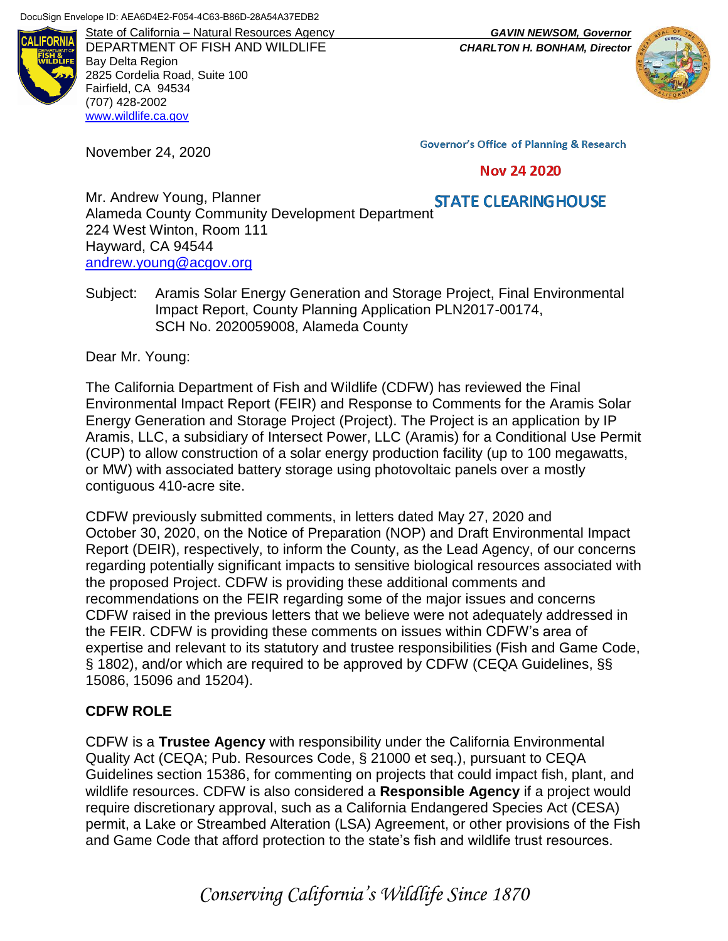

DEPARTMENT OF FISH AND WILDLIFE *CHARLTON H. BONHAM, Director* Bay Delta Region 2825 Cordelia Road, Suite 100 Fairfield, CA 94534 (707) 428-2002 [www.wildlife.ca.gov](http://www.wildlife.ca.gov/)

November 24, 2020

State of California – Natural Resources Agency *GAVIN NEWSOM, Governor*



**Governor's Office of Planning & Research** 

#### **Nov 24 2020**

Mr. Andrew Young, Planner Mr. Andrew Young, Planner<br>Alameda County Community Development Department 224 West Winton, Room 111 Hayward, CA 94544 [andrew.young@acgov.org](mailto:andrew.young@acgov.org)

Subject: Aramis Solar Energy Generation and Storage Project, Final Environmental Impact Report, County Planning Application PLN2017-00174, SCH No. 2020059008, Alameda County

Dear Mr. Young:

The California Department of Fish and Wildlife (CDFW) has reviewed the Final Environmental Impact Report (FEIR) and Response to Comments for the Aramis Solar Energy Generation and Storage Project (Project). The Project is an application by IP Aramis, LLC, a subsidiary of Intersect Power, LLC (Aramis) for a Conditional Use Permit (CUP) to allow construction of a solar energy production facility (up to 100 megawatts, or MW) with associated battery storage using photovoltaic panels over a mostly contiguous 410-acre site.

CDFW previously submitted comments, in letters dated May 27, 2020 and October 30, 2020, on the Notice of Preparation (NOP) and Draft Environmental Impact Report (DEIR), respectively, to inform the County, as the Lead Agency, of our concerns regarding potentially significant impacts to sensitive biological resources associated with the proposed Project. CDFW is providing these additional comments and recommendations on the FEIR regarding some of the major issues and concerns CDFW raised in the previous letters that we believe were not adequately addressed in the FEIR. CDFW is providing these comments on issues within CDFW's area of expertise and relevant to its statutory and trustee responsibilities (Fish and Game Code, § 1802), and/or which are required to be approved by CDFW (CEQA Guidelines, §§ 15086, 15096 and 15204).

### **CDFW ROLE**

CDFW is a **Trustee Agency** with responsibility under the California Environmental Quality Act (CEQA; Pub. Resources Code, § 21000 et seq.), pursuant to CEQA Guidelines section 15386, for commenting on projects that could impact fish, plant, and wildlife resources. CDFW is also considered a **Responsible Agency** if a project would require discretionary approval, such as a California Endangered Species Act (CESA) permit, a Lake or Streambed Alteration (LSA) Agreement, or other provisions of the Fish and Game Code that afford protection to the state's fish and wildlife trust resources.

*Conserving California's Wildlife Since 1870*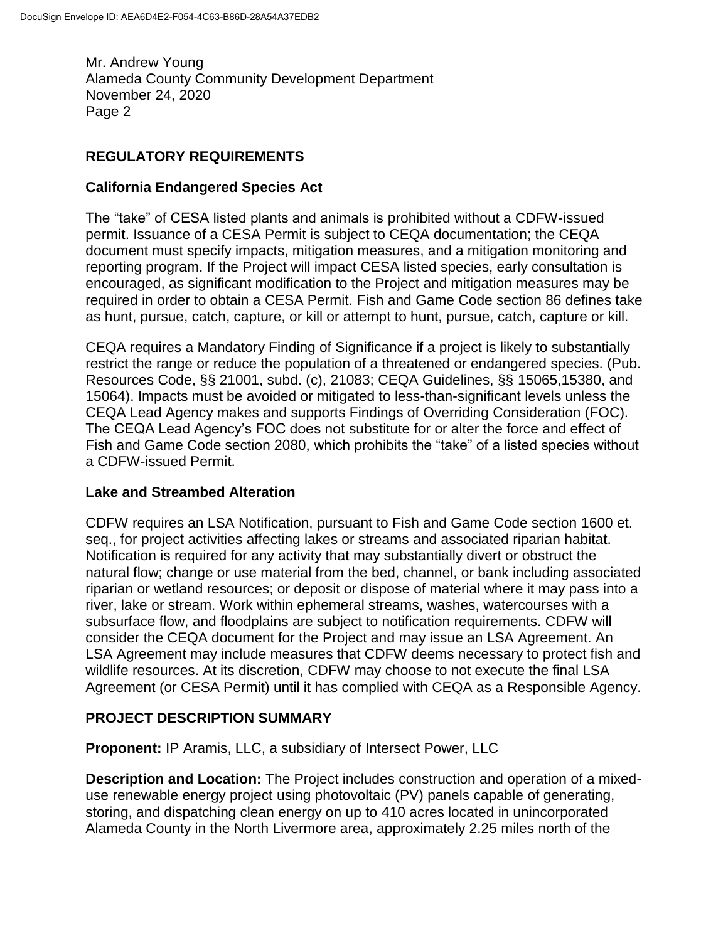## **REGULATORY REQUIREMENTS**

### **California Endangered Species Act**

The "take" of CESA listed plants and animals is prohibited without a CDFW-issued permit. Issuance of a CESA Permit is subject to CEQA documentation; the CEQA document must specify impacts, mitigation measures, and a mitigation monitoring and reporting program. If the Project will impact CESA listed species, early consultation is encouraged, as significant modification to the Project and mitigation measures may be required in order to obtain a CESA Permit. Fish and Game Code section 86 defines take as hunt, pursue, catch, capture, or kill or attempt to hunt, pursue, catch, capture or kill.

CEQA requires a Mandatory Finding of Significance if a project is likely to substantially restrict the range or reduce the population of a threatened or endangered species. (Pub. Resources Code, §§ 21001, subd. (c), 21083; CEQA Guidelines, §§ 15065,15380, and 15064). Impacts must be avoided or mitigated to less-than-significant levels unless the CEQA Lead Agency makes and supports Findings of Overriding Consideration (FOC). The CEQA Lead Agency's FOC does not substitute for or alter the force and effect of Fish and Game Code section 2080, which prohibits the "take" of a listed species without a CDFW-issued Permit.

### **Lake and Streambed Alteration**

CDFW requires an LSA Notification, pursuant to Fish and Game Code section 1600 et. seq., for project activities affecting lakes or streams and associated riparian habitat. Notification is required for any activity that may substantially divert or obstruct the natural flow; change or use material from the bed, channel, or bank including associated riparian or wetland resources; or deposit or dispose of material where it may pass into a river, lake or stream. Work within ephemeral streams, washes, watercourses with a subsurface flow, and floodplains are subject to notification requirements. CDFW will consider the CEQA document for the Project and may issue an LSA Agreement. An LSA Agreement may include measures that CDFW deems necessary to protect fish and wildlife resources. At its discretion, CDFW may choose to not execute the final LSA Agreement (or CESA Permit) until it has complied with CEQA as a Responsible Agency.

### **PROJECT DESCRIPTION SUMMARY**

**Proponent:** IP Aramis, LLC, a subsidiary of Intersect Power, LLC

**Description and Location:** The Project includes construction and operation of a mixeduse renewable energy project using photovoltaic (PV) panels capable of generating, storing, and dispatching clean energy on up to 410 acres located in unincorporated Alameda County in the North Livermore area, approximately 2.25 miles north of the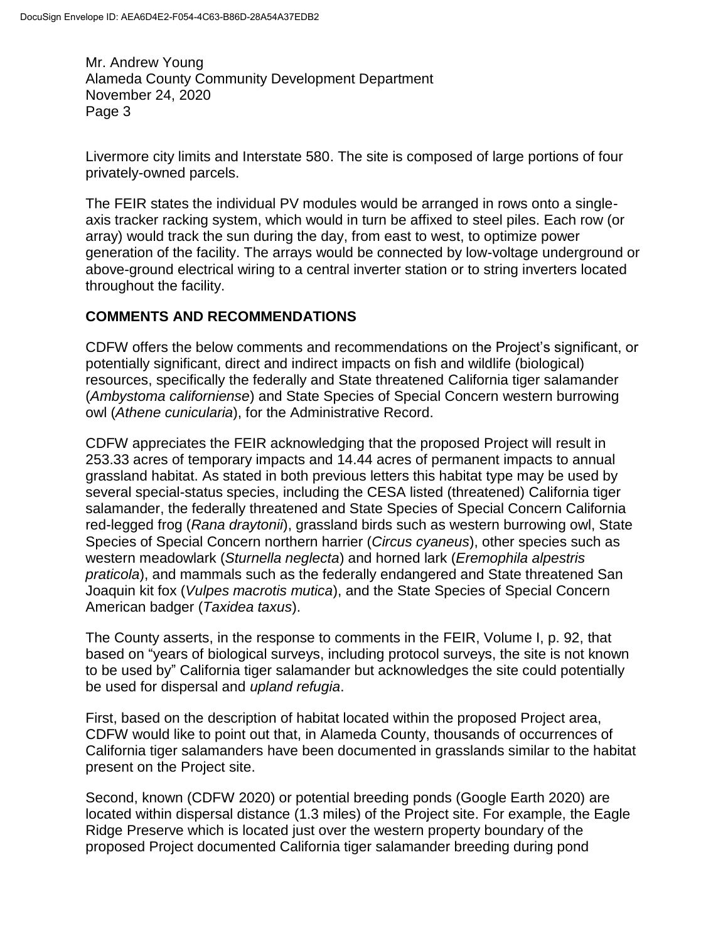Livermore city limits and Interstate 580. The site is composed of large portions of four privately-owned parcels.

The FEIR states the individual PV modules would be arranged in rows onto a singleaxis tracker racking system, which would in turn be affixed to steel piles. Each row (or array) would track the sun during the day, from east to west, to optimize power generation of the facility. The arrays would be connected by low-voltage underground or above-ground electrical wiring to a central inverter station or to string inverters located throughout the facility.

### **COMMENTS AND RECOMMENDATIONS**

CDFW offers the below comments and recommendations on the Project's significant, or potentially significant, direct and indirect impacts on fish and wildlife (biological) resources, specifically the federally and State threatened California tiger salamander (*Ambystoma californiense*) and State Species of Special Concern western burrowing owl (*Athene cunicularia*), for the Administrative Record.

CDFW appreciates the FEIR acknowledging that the proposed Project will result in 253.33 acres of temporary impacts and 14.44 acres of permanent impacts to annual grassland habitat. As stated in both previous letters this habitat type may be used by several special-status species, including the CESA listed (threatened) California tiger salamander, the federally threatened and State Species of Special Concern California red-legged frog (*Rana draytonii*), grassland birds such as western burrowing owl, State Species of Special Concern northern harrier (*Circus cyaneus*), other species such as western meadowlark (*Sturnella neglecta*) and horned lark (*Eremophila alpestris praticola*), and mammals such as the federally endangered and State threatened San Joaquin kit fox (*Vulpes macrotis mutica*), and the State Species of Special Concern American badger (*Taxidea taxus*).

The County asserts, in the response to comments in the FEIR, Volume I, p. 92, that based on "years of biological surveys, including protocol surveys, the site is not known to be used by" California tiger salamander but acknowledges the site could potentially be used for dispersal and *upland refugia*.

First, based on the description of habitat located within the proposed Project area, CDFW would like to point out that, in Alameda County, thousands of occurrences of California tiger salamanders have been documented in grasslands similar to the habitat present on the Project site.

Second, known (CDFW 2020) or potential breeding ponds (Google Earth 2020) are located within dispersal distance (1.3 miles) of the Project site. For example, the Eagle Ridge Preserve which is located just over the western property boundary of the proposed Project documented California tiger salamander breeding during pond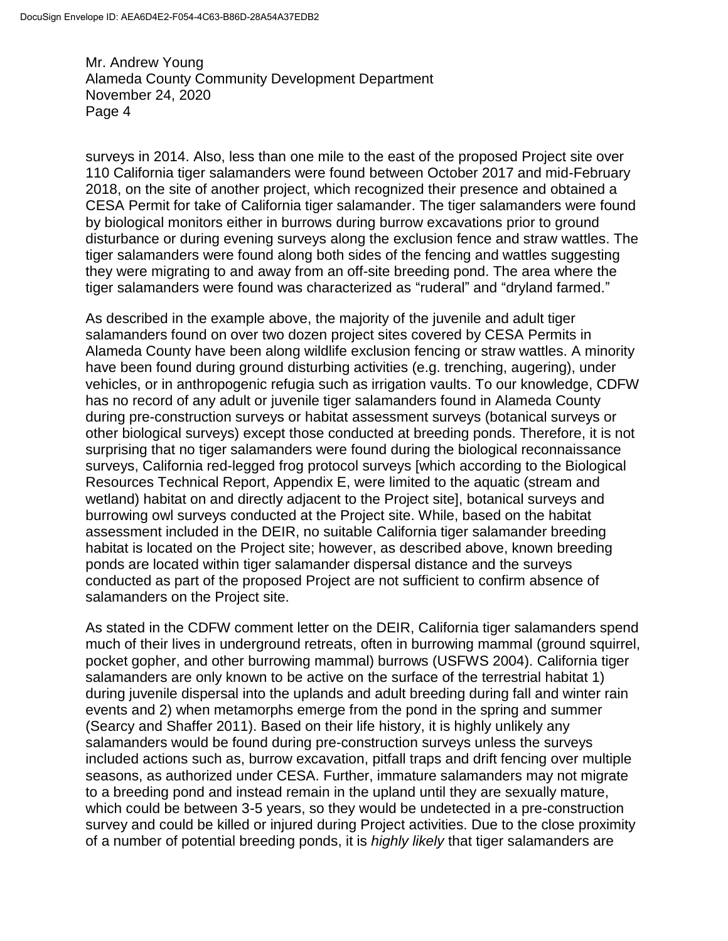surveys in 2014. Also, less than one mile to the east of the proposed Project site over 110 California tiger salamanders were found between October 2017 and mid-February 2018, on the site of another project, which recognized their presence and obtained a CESA Permit for take of California tiger salamander. The tiger salamanders were found by biological monitors either in burrows during burrow excavations prior to ground disturbance or during evening surveys along the exclusion fence and straw wattles. The tiger salamanders were found along both sides of the fencing and wattles suggesting they were migrating to and away from an off-site breeding pond. The area where the tiger salamanders were found was characterized as "ruderal" and "dryland farmed."

As described in the example above, the majority of the juvenile and adult tiger salamanders found on over two dozen project sites covered by CESA Permits in Alameda County have been along wildlife exclusion fencing or straw wattles. A minority have been found during ground disturbing activities (e.g. trenching, augering), under vehicles, or in anthropogenic refugia such as irrigation vaults. To our knowledge, CDFW has no record of any adult or juvenile tiger salamanders found in Alameda County during pre-construction surveys or habitat assessment surveys (botanical surveys or other biological surveys) except those conducted at breeding ponds. Therefore, it is not surprising that no tiger salamanders were found during the biological reconnaissance surveys, California red-legged frog protocol surveys [which according to the Biological Resources Technical Report, Appendix E, were limited to the aquatic (stream and wetland) habitat on and directly adjacent to the Project site], botanical surveys and burrowing owl surveys conducted at the Project site. While, based on the habitat assessment included in the DEIR, no suitable California tiger salamander breeding habitat is located on the Project site; however, as described above, known breeding ponds are located within tiger salamander dispersal distance and the surveys conducted as part of the proposed Project are not sufficient to confirm absence of salamanders on the Project site.

As stated in the CDFW comment letter on the DEIR, California tiger salamanders spend much of their lives in underground retreats, often in burrowing mammal (ground squirrel, pocket gopher, and other burrowing mammal) burrows (USFWS 2004). California tiger salamanders are only known to be active on the surface of the terrestrial habitat 1) during juvenile dispersal into the uplands and adult breeding during fall and winter rain events and 2) when metamorphs emerge from the pond in the spring and summer (Searcy and Shaffer 2011). Based on their life history, it is highly unlikely any salamanders would be found during pre-construction surveys unless the surveys included actions such as, burrow excavation, pitfall traps and drift fencing over multiple seasons, as authorized under CESA. Further, immature salamanders may not migrate to a breeding pond and instead remain in the upland until they are sexually mature, which could be between 3-5 years, so they would be undetected in a pre-construction survey and could be killed or injured during Project activities. Due to the close proximity of a number of potential breeding ponds, it is *highly likely* that tiger salamanders are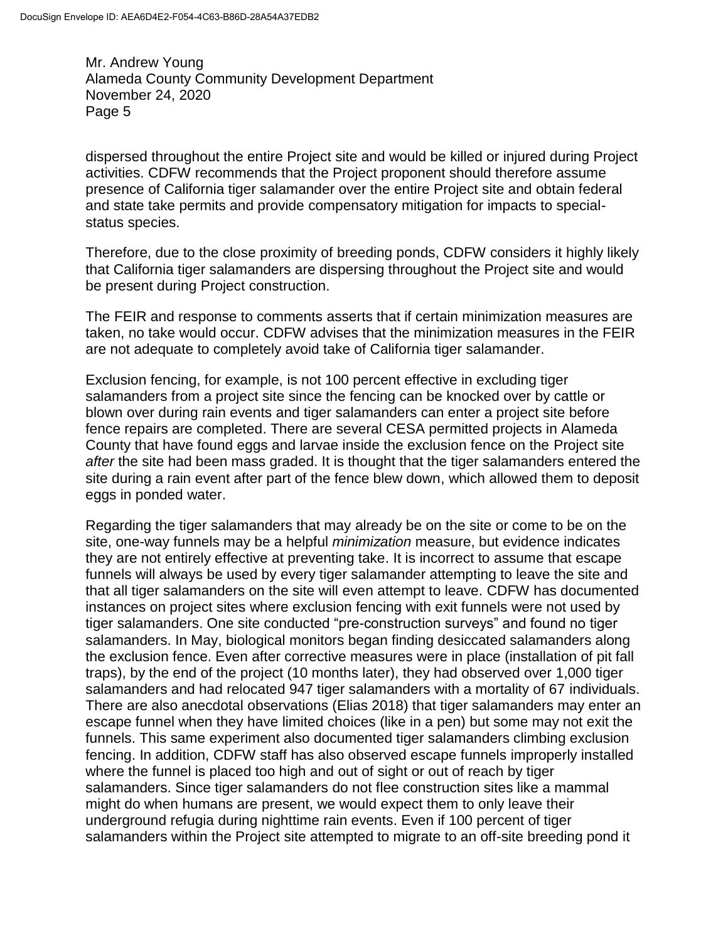dispersed throughout the entire Project site and would be killed or injured during Project activities. CDFW recommends that the Project proponent should therefore assume presence of California tiger salamander over the entire Project site and obtain federal and state take permits and provide compensatory mitigation for impacts to specialstatus species.

Therefore, due to the close proximity of breeding ponds, CDFW considers it highly likely that California tiger salamanders are dispersing throughout the Project site and would be present during Project construction.

The FEIR and response to comments asserts that if certain minimization measures are taken, no take would occur. CDFW advises that the minimization measures in the FEIR are not adequate to completely avoid take of California tiger salamander.

Exclusion fencing, for example, is not 100 percent effective in excluding tiger salamanders from a project site since the fencing can be knocked over by cattle or blown over during rain events and tiger salamanders can enter a project site before fence repairs are completed. There are several CESA permitted projects in Alameda County that have found eggs and larvae inside the exclusion fence on the Project site *after* the site had been mass graded. It is thought that the tiger salamanders entered the site during a rain event after part of the fence blew down, which allowed them to deposit eggs in ponded water.

Regarding the tiger salamanders that may already be on the site or come to be on the site, one-way funnels may be a helpful *minimization* measure, but evidence indicates they are not entirely effective at preventing take. It is incorrect to assume that escape funnels will always be used by every tiger salamander attempting to leave the site and that all tiger salamanders on the site will even attempt to leave. CDFW has documented instances on project sites where exclusion fencing with exit funnels were not used by tiger salamanders. One site conducted "pre-construction surveys" and found no tiger salamanders. In May, biological monitors began finding desiccated salamanders along the exclusion fence. Even after corrective measures were in place (installation of pit fall traps), by the end of the project (10 months later), they had observed over 1,000 tiger salamanders and had relocated 947 tiger salamanders with a mortality of 67 individuals. There are also anecdotal observations (Elias 2018) that tiger salamanders may enter an escape funnel when they have limited choices (like in a pen) but some may not exit the funnels. This same experiment also documented tiger salamanders climbing exclusion fencing. In addition, CDFW staff has also observed escape funnels improperly installed where the funnel is placed too high and out of sight or out of reach by tiger salamanders. Since tiger salamanders do not flee construction sites like a mammal might do when humans are present, we would expect them to only leave their underground refugia during nighttime rain events. Even if 100 percent of tiger salamanders within the Project site attempted to migrate to an off-site breeding pond it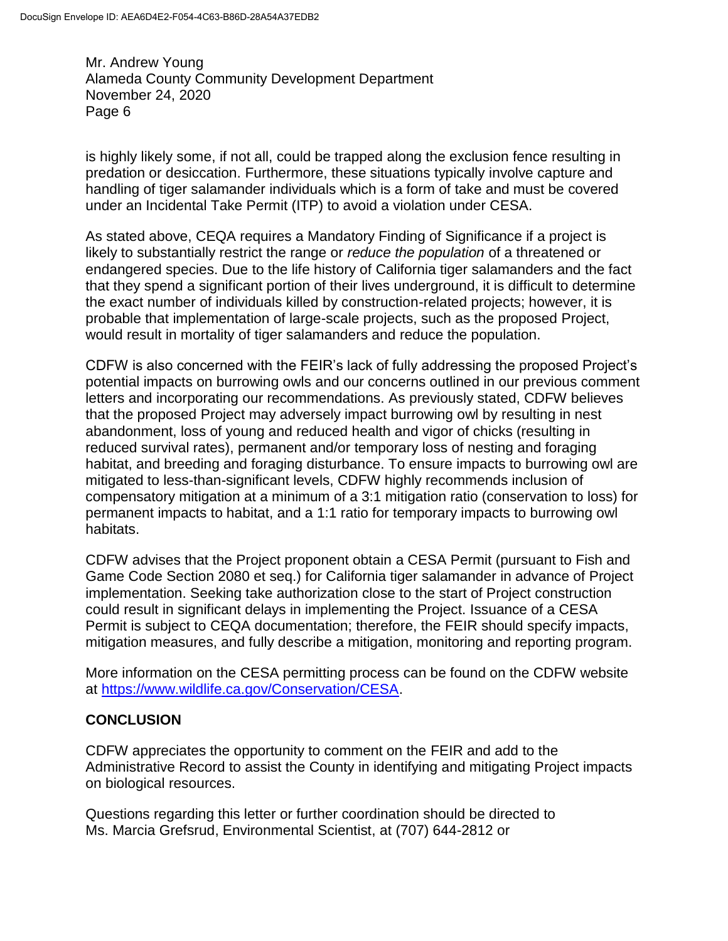is highly likely some, if not all, could be trapped along the exclusion fence resulting in predation or desiccation. Furthermore, these situations typically involve capture and handling of tiger salamander individuals which is a form of take and must be covered under an Incidental Take Permit (ITP) to avoid a violation under CESA.

As stated above, CEQA requires a Mandatory Finding of Significance if a project is likely to substantially restrict the range or *reduce the population* of a threatened or endangered species. Due to the life history of California tiger salamanders and the fact that they spend a significant portion of their lives underground, it is difficult to determine the exact number of individuals killed by construction-related projects; however, it is probable that implementation of large-scale projects, such as the proposed Project, would result in mortality of tiger salamanders and reduce the population.

CDFW is also concerned with the FEIR's lack of fully addressing the proposed Project's potential impacts on burrowing owls and our concerns outlined in our previous comment letters and incorporating our recommendations. As previously stated, CDFW believes that the proposed Project may adversely impact burrowing owl by resulting in nest abandonment, loss of young and reduced health and vigor of chicks (resulting in reduced survival rates), permanent and/or temporary loss of nesting and foraging habitat, and breeding and foraging disturbance. To ensure impacts to burrowing owl are mitigated to less-than-significant levels, CDFW highly recommends inclusion of compensatory mitigation at a minimum of a 3:1 mitigation ratio (conservation to loss) for permanent impacts to habitat, and a 1:1 ratio for temporary impacts to burrowing owl habitats.

CDFW advises that the Project proponent obtain a CESA Permit (pursuant to Fish and Game Code Section 2080 et seq.) for California tiger salamander in advance of Project implementation. Seeking take authorization close to the start of Project construction could result in significant delays in implementing the Project. Issuance of a CESA Permit is subject to CEQA documentation; therefore, the FEIR should specify impacts, mitigation measures, and fully describe a mitigation, monitoring and reporting program.

More information on the CESA permitting process can be found on the CDFW website at [https://www.wildlife.ca.gov/Conservation/CESA.](https://www.wildlife.ca.gov/Conservation/CESA)

### **CONCLUSION**

CDFW appreciates the opportunity to comment on the FEIR and add to the Administrative Record to assist the County in identifying and mitigating Project impacts on biological resources.

Questions regarding this letter or further coordination should be directed to Ms. Marcia Grefsrud, Environmental Scientist, at (707) 644-2812 or